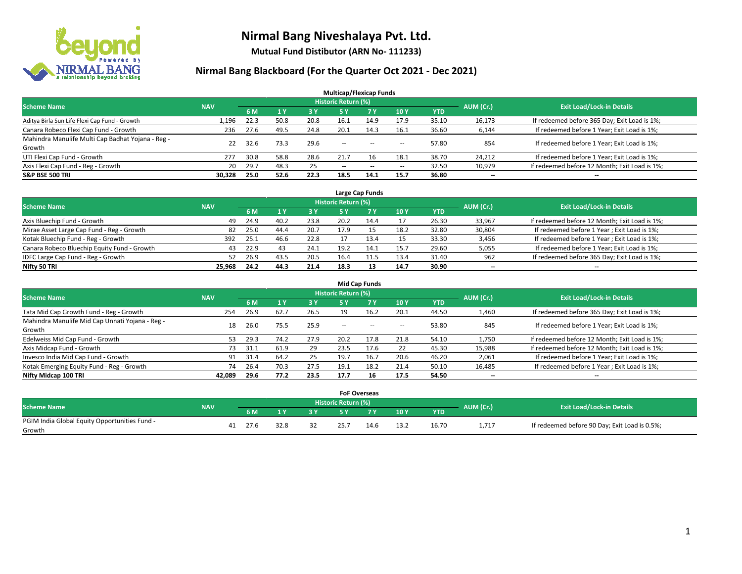

**Mutual Fund Distibutor (ARN No- 111233)**

| <b>Multicap/Flexicap Funds</b>                    |            |      |      |      |                            |       |                          |            |           |                                               |  |  |  |  |
|---------------------------------------------------|------------|------|------|------|----------------------------|-------|--------------------------|------------|-----------|-----------------------------------------------|--|--|--|--|
| <b>Scheme Name</b>                                | <b>NAV</b> |      |      |      | <b>Historic Return (%)</b> |       |                          |            | AUM (Cr.) | <b>Exit Load/Lock-in Details</b>              |  |  |  |  |
|                                                   |            | 6 M  | 1Y   | 3 Y  | <b>5Y</b>                  | 7 Y   | <b>10Y</b>               | <b>YTD</b> |           |                                               |  |  |  |  |
| Aditya Birla Sun Life Flexi Cap Fund - Growth     | 1,196      | 22.3 | 50.8 | 20.8 | 16.1                       | 14.9  | 17.9                     | 35.10      | 16,173    | If redeemed before 365 Day; Exit Load is 1%;  |  |  |  |  |
| Canara Robeco Flexi Cap Fund - Growth             | 236        | 27.6 | 49.5 | 24.8 | 20.1                       | 14.3  | 16.1                     | 36.60      | 6,144     | If redeemed before 1 Year; Exit Load is 1%;   |  |  |  |  |
| Mahindra Manulife Multi Cap Badhat Yojana - Reg - | 22         | 32.6 | 73.3 | 29.6 | $\sim$                     |       |                          | 57.80      | 854       | If redeemed before 1 Year; Exit Load is 1%;   |  |  |  |  |
| Growth                                            |            |      |      |      |                            | $- -$ | $\overline{\phantom{a}}$ |            |           |                                               |  |  |  |  |
| UTI Flexi Cap Fund - Growth                       | 277        | 30.8 | 58.8 | 28.6 | 21.7                       | 16    | 18.1                     | 38.70      | 24,212    | If redeemed before 1 Year; Exit Load is 1%;   |  |  |  |  |
| Axis Flexi Cap Fund - Reg - Growth                | 20         | 29.7 | 48.3 | 25   | $\overline{\phantom{a}}$   | $-$   | $\overline{\phantom{a}}$ | 32.50      | 10,979    | If redeemed before 12 Month; Exit Load is 1%; |  |  |  |  |
| <b>S&amp;P BSE 500 TRI</b>                        | 30,328     | 25.0 | 52.6 | 22.3 | 18.5                       | 14.1  | 15.7                     | 36.80      | $- -$     | $- -$                                         |  |  |  |  |

|                                             |            |      |      |      |                            | Large Cap Funds |      |            |           |                                               |
|---------------------------------------------|------------|------|------|------|----------------------------|-----------------|------|------------|-----------|-----------------------------------------------|
| <b>Scheme Name</b>                          | <b>NAV</b> |      |      |      | <b>Historic Return (%)</b> |                 |      |            | AUM (Cr.) | <b>Exit Load/Lock-in Details</b>              |
|                                             |            | 6 M  |      | 3 Y  |                            | <b>7 Y</b>      | 10Y  | <b>YTD</b> |           |                                               |
| Axis Bluechip Fund - Growth                 | 49         | 24.9 | 40.2 | 23.8 | 20.2                       | 14.4            | 17   | 26.30      | 33,967    | If redeemed before 12 Month; Exit Load is 1%; |
| Mirae Asset Large Cap Fund - Reg - Growth   | 82         | 25.0 | 44.4 | 20.7 | 17.9                       |                 | 18.2 | 32.80      | 30,804    | If redeemed before 1 Year; Exit Load is 1%;   |
| Kotak Bluechip Fund - Reg - Growth          | 392        | 25.1 | 46.6 | 22.8 |                            | 13.4            | 15   | 33.30      | 3,456     | If redeemed before 1 Year; Exit Load is 1%;   |
| Canara Robeco Bluechip Equity Fund - Growth | 43         | 22.9 | 43   | 24.1 | 19.2                       | 14.1            | 15.7 | 29.60      | 5,055     | If redeemed before 1 Year; Exit Load is 1%;   |
| IDFC Large Cap Fund - Reg - Growth          | 52         | 26.9 | 43.5 | 20.5 | 16.4                       | 44.5 L          | 13.4 | 31.40      | 962       | If redeemed before 365 Day; Exit Load is 1%;  |
| Nifty 50 TRI                                | 25.968     | 24.2 | 44.3 | 21.4 | 18.3                       | 13              | 14.7 | 30.90      | $- -$     | $- -$                                         |

| <b>Mid Cap Funds</b>                                      |            |      |      |      |                     |           |                          |       |                          |                                               |  |  |  |  |
|-----------------------------------------------------------|------------|------|------|------|---------------------|-----------|--------------------------|-------|--------------------------|-----------------------------------------------|--|--|--|--|
| <b>Scheme Name</b>                                        | <b>NAV</b> |      |      |      | Historic Return (%) |           |                          |       |                          | <b>Exit Load/Lock-in Details</b>              |  |  |  |  |
|                                                           |            | 6 M  |      | 3 Y  | 5 Y                 | <b>7Y</b> | 10Y                      | YTD   | AUM (Cr.)                |                                               |  |  |  |  |
| Tata Mid Cap Growth Fund - Reg - Growth                   | 254        | 26.9 | 62.7 | 26.5 | 19                  | 16.2      | 20.1                     | 44.50 | 1,460                    | If redeemed before 365 Day; Exit Load is 1%;  |  |  |  |  |
| Mahindra Manulife Mid Cap Unnati Yojana - Reg -<br>Growth | 18         | 26.0 | 75.5 | 25.9 | $-$                 | $\sim$    | $\overline{\phantom{a}}$ | 53.80 | 845                      | If redeemed before 1 Year; Exit Load is 1%;   |  |  |  |  |
| Edelweiss Mid Cap Fund - Growth                           | 53.        | 29.3 | 74.2 | 27.9 | 20.2                | 17.8      | 21.8                     | 54.10 | 1,750                    | If redeemed before 12 Month; Exit Load is 1%; |  |  |  |  |
| Axis Midcap Fund - Growth                                 | 73         | 31.1 | 61.9 | 29   | 23.5                | 17.6      | 22                       | 45.30 | 15,988                   | If redeemed before 12 Month; Exit Load is 1%; |  |  |  |  |
| Invesco India Mid Cap Fund - Growth                       | 91         | 31.4 | 64.2 | 25   | 19.7                | 16.7      | 20.6                     | 46.20 | 2,061                    | If redeemed before 1 Year; Exit Load is 1%;   |  |  |  |  |
| Kotak Emerging Equity Fund - Reg - Growth                 | 74         | 26.4 | 70.3 | 27.5 | 19.1                | 18.2      | 21.4                     | 50.10 | 16,485                   | If redeemed before 1 Year; Exit Load is 1%;   |  |  |  |  |
| Nifty Midcap 100 TRI                                      | 42.089     | 29.6 | 77.2 | 23.5 | 17.7                | 16        | 17.5                     | 54.50 | $\overline{\phantom{a}}$ | $-$                                           |  |  |  |  |

|                                               |            |      |      |    | <b>FoF Overseas</b>        |      |      |            |           |                                               |
|-----------------------------------------------|------------|------|------|----|----------------------------|------|------|------------|-----------|-----------------------------------------------|
| <b>Scheme Name</b>                            | <b>NAV</b> |      |      |    | <b>Historic Return (%)</b> |      |      |            |           | <b>Exit Load/Lock-in Details</b>              |
|                                               |            | 6 M  |      | 2V |                            | 7 V  | 10Y  | <b>YTD</b> | AUM (Cr.) |                                               |
| PGIM India Global Equity Opportunities Fund - |            | 27.6 | 32.8 | 32 | 25.7                       | 14.6 | 13.2 | 16.70      | 1,717     | If redeemed before 90 Day; Exit Load is 0.5%; |
| Growth                                        |            |      |      |    |                            |      |      |            |           |                                               |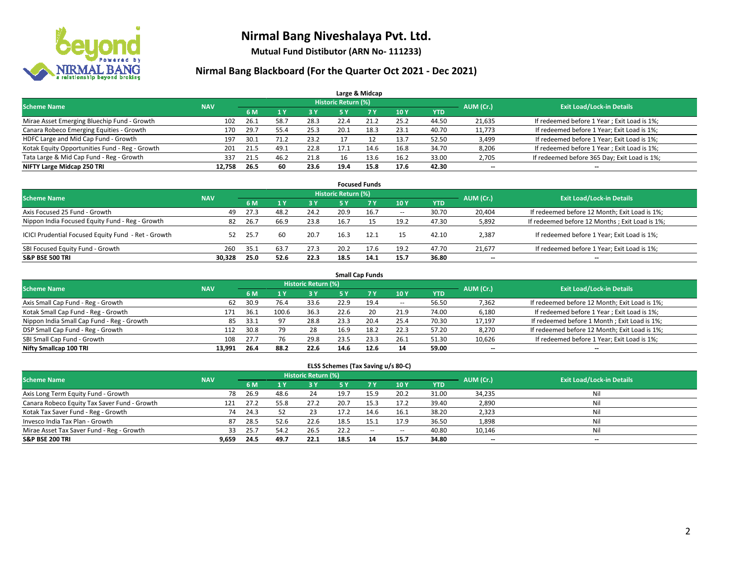

**Mutual Fund Distibutor (ARN No- 111233)**

### **Nirmal Bang Blackboard (For the Quarter Oct 2021 - Dec 2021)**

|                                                |            |      |      |      |                            | Large & Midcap |      |            |                          |                                              |
|------------------------------------------------|------------|------|------|------|----------------------------|----------------|------|------------|--------------------------|----------------------------------------------|
| <b>Scheme Name</b>                             | <b>NAV</b> |      |      |      | <b>Historic Return (%)</b> |                |      |            | AUM (Cr.)                | <b>Exit Load/Lock-in Details</b>             |
|                                                |            | 6 M  |      | 3 Y  | 5 Y                        | 7 Y            | 10Y  | <b>YTD</b> |                          |                                              |
| Mirae Asset Emerging Bluechip Fund - Growth    | 102        | 26.1 | 58.7 | 28.3 | 22.4                       | 21.2           | 25.2 | 44.50      | 21,635                   | If redeemed before 1 Year; Exit Load is 1%;  |
| Canara Robeco Emerging Equities - Growth       | 170        | 29.7 | 55.4 | 25.3 | 20.1                       | 18.3           | 23.1 | 40.70      | 11,773                   | If redeemed before 1 Year; Exit Load is 1%;  |
| HDFC Large and Mid Cap Fund - Growth           | 197        | 30.1 | 71.2 | 23.2 |                            |                | 13.7 | 52.50      | 3,499                    | If redeemed before 1 Year; Exit Load is 1%;  |
| Kotak Equity Opportunities Fund - Reg - Growth | 201        | 21.5 | 49.1 | 22.8 | 17.1                       | 14.6           | 16.8 | 34.70      | 8,206                    | If redeemed before 1 Year; Exit Load is 1%;  |
| Tata Large & Mid Cap Fund - Reg - Growth       | 337        | 21.5 | 46.2 | 21.8 | 16                         | 13.6           | 16.2 | 33.00      | 2,705                    | If redeemed before 365 Day; Exit Load is 1%; |
| NIFTY Large Midcap 250 TRI                     | 12.758     | 26.5 | 60   | 23.6 | 19.4                       | 15.8           | 17.6 | 42.30      | $\overline{\phantom{a}}$ | $- -$                                        |

|                                                     |            |      |      |      |                     | <b>Focused Funds</b> |                          |       |                          |                                                |
|-----------------------------------------------------|------------|------|------|------|---------------------|----------------------|--------------------------|-------|--------------------------|------------------------------------------------|
| <b>Scheme Name</b>                                  | <b>NAV</b> |      |      |      | Historic Return (%) |                      |                          |       | AUM (Cr.)                | <b>Exit Load/Lock-in Details</b>               |
|                                                     |            | 6 M  |      | 3V   | 5 Y                 | 7 Y                  | 10Y                      | YTD   |                          |                                                |
| Axis Focused 25 Fund - Growth                       | 49         | 27.3 | 48.2 | 24.2 | 20.9                | 16.7                 | $\overline{\phantom{a}}$ | 30.70 | 20.404                   | If redeemed before 12 Month; Exit Load is 1%;  |
| Nippon India Focused Equity Fund - Reg - Growth     | 82         | 26.7 | 66.9 | 23.8 | 16.7                |                      | 19.2                     | 47.30 | 5,892                    | If redeemed before 12 Months; Exit Load is 1%; |
| ICICI Prudential Focused Equity Fund - Ret - Growth | 52         | 25.7 | 60   | 20.7 | 16.3                | 12.1                 | 15                       | 42.10 | 2,387                    | If redeemed before 1 Year; Exit Load is 1%;    |
| SBI Focused Equity Fund - Growth                    | 260        | 35.1 | 63.7 | 27.3 | 20.2                | 17.6                 | 19.2                     | 47.70 | 21,677                   | If redeemed before 1 Year; Exit Load is 1%;    |
| <b>S&amp;P BSE 500 TRI</b>                          | 30.328     | 25.0 | 52.6 | 22.3 | 18.5                | 14.1                 | 15.7                     | 36.80 | $\overline{\phantom{a}}$ | $\overline{\phantom{a}}$                       |

| <b>Scheme Name</b>                         | <b>NAV</b> |      |       | Historic Return (%) |      |           |            |            | AUM (Cr.) | <b>Exit Load/Lock-in Details</b>              |
|--------------------------------------------|------------|------|-------|---------------------|------|-----------|------------|------------|-----------|-----------------------------------------------|
|                                            |            | 6 M  |       | 3 Y                 | 5 Y  | <b>7Y</b> | <b>10Y</b> | <b>YTD</b> |           |                                               |
| Axis Small Cap Fund - Reg - Growth         | 62         | 30.9 | 76.4  | 33.6                | 22.9 | 19.4      | $- -$      | 56.50      | 7,362     | If redeemed before 12 Month; Exit Load is 1%; |
| Kotak Small Cap Fund - Reg - Growth        | 171        | 36.1 | 100.6 | 36.3                | 22.6 | 20        | 21.9       | 74.00      | 6,180     | If redeemed before 1 Year; Exit Load is 1%;   |
| Nippon India Small Cap Fund - Reg - Growth | 85         | 33.1 | 97    | 28.8                | 23.3 | 20.4      | 25.4       | 70.30      | 17,197    | If redeemed before 1 Month; Exit Load is 1%;  |
| DSP Small Cap Fund - Reg - Growth          | 112        | 30.8 |       | 28                  | 16.9 | 18.2      | 22.3       | 57.20      | 8,270     | If redeemed before 12 Month; Exit Load is 1%; |
| SBI Small Cap Fund - Growth                | 108        | 27.7 | 76    | 29.8                | 23.5 | 23.3      | 26.1       | 51.30      | 10,626    | If redeemed before 1 Year; Exit Load is 1%;   |
| Nifty Smallcap 100 TRI                     | 13.991     | 26.4 | 88.2  | 22.6                | 14.6 | 12.6      | 14         | 59.00      | --        | $\overline{\phantom{a}}$                      |

#### **ELSS Schemes (Tax Saving u/s 80-C)**

| <b>Scheme Name</b>                           | <b>NAV</b> |      |      | Historic Return (%) |      |           |                          |            | AUM (Cr.)                | <b>Exit Load/Lock-in Details</b> |
|----------------------------------------------|------------|------|------|---------------------|------|-----------|--------------------------|------------|--------------------------|----------------------------------|
|                                              |            | 6 M  |      | 73 Y.               | 5 Y  | <b>7Y</b> | 10Y                      | <b>YTD</b> |                          |                                  |
| Axis Long Term Equity Fund - Growth          | 78         | 26.9 | 48.6 | 24                  | 19.7 | 15.9      | 20.2                     | 31.00      | 34,235                   | Nil                              |
| Canara Robeco Equity Tax Saver Fund - Growth | 121        | 27.2 | 55.8 | 27.2                | 20.7 | 15.3      | 17.2                     | 39.40      | 2,890                    | Nil                              |
| Kotak Tax Saver Fund - Reg - Growth          | 74         | 24.3 |      | 23                  | 17.2 | 14.6      | 16.1                     | 38.20      | 2,323                    | Nil                              |
| Invesco India Tax Plan - Growth              | 87         | 28.5 | 52.6 | 22.6                | 18.5 | 15.1      | 17.9                     | 36.50      | 1,898                    | Nil                              |
| Mirae Asset Tax Saver Fund - Reg - Growth    | 33         | 25.7 | 54.2 | 26.5                | 22.2 | $-$       | $\hspace{0.05cm} \cdots$ | 40.80      | 10,146                   | Nil                              |
| <b>S&amp;P BSE 200 TRI</b>                   | 9,659      | 24.5 | 49.7 | 22.1                | 18.5 |           | 15.7                     | 34.80      | $\overline{\phantom{a}}$ | --                               |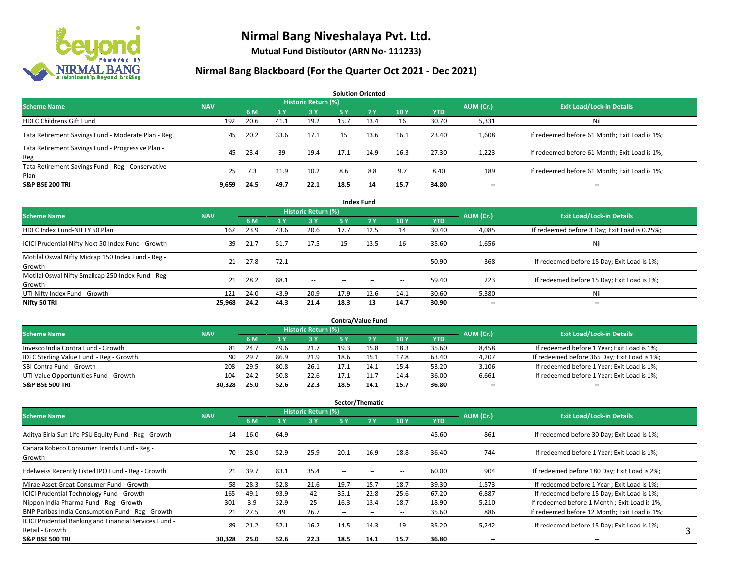

**Mutual Fund Distibutor (ARN No- 111233)**

| <b>Solution Oriented</b>                                  |            |      |      |                     |      |      |      |            |                          |                                               |  |  |  |  |
|-----------------------------------------------------------|------------|------|------|---------------------|------|------|------|------------|--------------------------|-----------------------------------------------|--|--|--|--|
| <b>Scheme Name</b>                                        | <b>NAV</b> |      |      | Historic Return (%) |      |      |      |            | AUM (Cr.)                | <b>Exit Load/Lock-in Details</b>              |  |  |  |  |
|                                                           |            | 6 M  |      | $-3V$               | 75 Y | 7Y   | 10Y  | <b>YTD</b> |                          |                                               |  |  |  |  |
| <b>HDFC Childrens Gift Fund</b>                           | 192        | 20.6 | 41.1 | 19.2                | 15.7 | 13.4 | 16   | 30.70      | 5,331                    | Ni                                            |  |  |  |  |
| Tata Retirement Savings Fund - Moderate Plan - Reg        | 45         | 20.2 | 33.6 | 17.1                | 15   | 13.6 | 16.1 | 23.40      | 1,608                    | If redeemed before 61 Month; Exit Load is 1%; |  |  |  |  |
| Tata Retirement Savings Fund - Progressive Plan -<br>Reg  | 45         | 23.4 | 39   | 19.4                | 17.1 | 14.9 | 16.3 | 27.30      | 1,223                    | If redeemed before 61 Month; Exit Load is 1%; |  |  |  |  |
| Tata Retirement Savings Fund - Reg - Conservative<br>Plan | 25         | 7.3  | 11.9 | 10.2                | 8.6  | 8.8  | 9.7  | 8.40       | 189                      | If redeemed before 61 Month; Exit Load is 1%; |  |  |  |  |
| <b>S&amp;P BSE 200 TRI</b>                                | 9.659      | 24.5 | 49.7 | 22.1                | 18.5 | 14   | 15.7 | 34.80      | $\overline{\phantom{a}}$ | $-$                                           |  |  |  |  |

| <b>Index Fund</b>                                             |            |      |           |                            |        |        |                          |            |           |                                               |  |  |  |  |
|---------------------------------------------------------------|------------|------|-----------|----------------------------|--------|--------|--------------------------|------------|-----------|-----------------------------------------------|--|--|--|--|
| <b>Scheme Name</b>                                            | <b>NAV</b> |      |           | <b>Historic Return (%)</b> |        |        |                          |            | AUM (Cr.) | <b>Exit Load/Lock-in Details</b>              |  |  |  |  |
|                                                               |            | 6 M  | <b>1Y</b> | 3 Y                        | 5 Y    | 7V     | 10Y                      | <b>YTD</b> |           |                                               |  |  |  |  |
| HDFC Index Fund-NIFTY 50 Plan                                 | 167        | 23.9 | 43.6      | 20.6                       | 17.7   | 12.5   | 14                       | 30.40      | 4,085     | If redeemed before 3 Day; Exit Load is 0.25%; |  |  |  |  |
| ICICI Prudential Nifty Next 50 Index Fund - Growth            | 39         | 21.7 | 51.7      | 17.5                       | 15     | 13.5   | 16                       | 35.60      | 1,656     | Nil                                           |  |  |  |  |
| Motilal Oswal Nifty Midcap 150 Index Fund - Reg -<br>Growth   | 21         | 27.8 | 72.1      | $\sim$                     | $\sim$ | $-$    | $\overline{\phantom{a}}$ | 50.90      | 368       | If redeemed before 15 Day; Exit Load is 1%;   |  |  |  |  |
| Motilal Oswal Nifty Smallcap 250 Index Fund - Reg -<br>Growth | 21         | 28.2 | 88.1      | $\sim$                     | $\sim$ | $\sim$ | $\hspace{0.05cm} \cdots$ | 59.40      | 223       | If redeemed before 15 Day; Exit Load is 1%;   |  |  |  |  |
| UTI Nifty Index Fund - Growth                                 | 121        | 24.0 | 43.9      | 20.9                       | 17.9   | 12.6   | 14.1                     | 30.60      | 5,380     | Nil                                           |  |  |  |  |
| Nifty 50 TRI                                                  | 25,968     | 24.2 | 44.3      | 21.4                       | 18.3   | 13     | 14.7                     | 30.90      | $- -$     | $\overline{\phantom{a}}$                      |  |  |  |  |

| <b>Contra/Value Fund</b>                |            |      |      |                     |      |      |      |       |           |                                              |  |  |  |  |
|-----------------------------------------|------------|------|------|---------------------|------|------|------|-------|-----------|----------------------------------------------|--|--|--|--|
| <b>Scheme Name</b>                      | <b>NAV</b> |      |      | Historic Return (%) |      |      |      |       | AUM (Cr.) | <b>Exit Load/Lock-in Details</b>             |  |  |  |  |
|                                         |            | 6 M  |      | 3 Y                 |      |      | 10Y  | YTD   |           |                                              |  |  |  |  |
| Invesco India Contra Fund - Growth      | 81         | 24.7 | 49.6 | 21.7                | 19.3 | 15.8 | 18.3 | 35.60 | 8,458     | If redeemed before 1 Year; Exit Load is 1%;  |  |  |  |  |
| IDFC Sterling Value Fund - Reg - Growth | 90         | 29.7 | 86.9 | 21.9                | 18.6 | 15.1 | 17.8 | 63.40 | 4,207     | If redeemed before 365 Day; Exit Load is 1%; |  |  |  |  |
| SBI Contra Fund - Growth                | 208        | 29.5 | 80.8 | 26.1                | 17.1 | 14.: | 15.4 | 53.20 | 3,106     | If redeemed before 1 Year; Exit Load is 1%;  |  |  |  |  |
| UTI Value Opportunities Fund - Growth   | 104        | 24.2 | 50.8 | 22.6                | 17.1 |      | 14.4 | 36.00 | 6,661     | If redeemed before 1 Year; Exit Load is 1%;  |  |  |  |  |
| <b>S&amp;P BSE 500 TRI</b>              | 30.328     | 25.0 | 52.6 | 22.3                | 18.5 | 14.1 | 15.7 | 36.80 | $- -$     | $- -$                                        |  |  |  |  |

| Sector/Thematic                                                           |            |      |      |                            |                          |                   |                          |            |                          |                                               |  |  |  |
|---------------------------------------------------------------------------|------------|------|------|----------------------------|--------------------------|-------------------|--------------------------|------------|--------------------------|-----------------------------------------------|--|--|--|
| <b>Scheme Name</b>                                                        | <b>NAV</b> |      |      | <b>Historic Return (%)</b> |                          |                   |                          |            | AUM (Cr.)                | <b>Exit Load/Lock-in Details</b>              |  |  |  |
|                                                                           |            | 6 M  |      | 3 Y                        | <b>5Y</b>                | 7 Y               | 10Y                      | <b>YTD</b> |                          |                                               |  |  |  |
| Aditya Birla Sun Life PSU Equity Fund - Reg - Growth                      | 14         | 16.0 | 64.9 | $\overline{\phantom{a}}$   |                          |                   |                          | 45.60      | 861                      | If redeemed before 30 Day; Exit Load is 1%;   |  |  |  |
| Canara Robeco Consumer Trends Fund - Reg -<br>Growth                      | 70         | 28.0 | 52.9 | 25.9                       | 20.1                     | 16.9              | 18.8                     | 36.40      | 744                      | If redeemed before 1 Year; Exit Load is 1%;   |  |  |  |
| Edelweiss Recently Listed IPO Fund - Reg - Growth                         | 21         | 39.7 | 83.1 | 35.4                       | --                       |                   | $\overline{\phantom{a}}$ | 60.00      | 904                      | If redeemed before 180 Day; Exit Load is 2%;  |  |  |  |
| Mirae Asset Great Consumer Fund - Growth                                  | 58         | 28.3 | 52.8 | 21.6                       | 19.7                     | 15.7              | 18.7                     | 39.30      | 1,573                    | If redeemed before 1 Year: Exit Load is 1%:   |  |  |  |
| <b>ICICI Prudential Technology Fund - Growth</b>                          | 165        | 49.1 | 93.9 | 42                         | 35.1                     | 22.8              | 25.6                     | 67.20      | 6,887                    | If redeemed before 15 Day; Exit Load is 1%;   |  |  |  |
| Nippon India Pharma Fund - Reg - Growth                                   | 301        | 3.9  | 32.9 | 25                         | 16.3                     | 13.4              | 18.7                     | 18.90      | 5,210                    | If redeemed before 1 Month; Exit Load is 1%;  |  |  |  |
| BNP Paribas India Consumption Fund - Reg - Growth                         | 21         | 27.5 | 49   | 26.7                       | $\overline{\phantom{m}}$ | $\hspace{0.05cm}$ | $\overline{\phantom{a}}$ | 35.60      | 886                      | If redeemed before 12 Month; Exit Load is 1%; |  |  |  |
| ICICI Prudential Banking and Financial Services Fund -<br>Retail - Growth | 89         | 21.2 | 52.1 | 16.2                       | 14.5                     | 14.3              | 19                       | 35.20      | 5,242                    | If redeemed before 15 Day; Exit Load is 1%;   |  |  |  |
| <b>S&amp;P BSE 500 TRI</b>                                                | 30,328     | 25.0 | 52.6 | 22.3                       | 18.5                     | 14.1              | 15.7                     | 36.80      | $\overline{\phantom{a}}$ | $\overline{\phantom{a}}$                      |  |  |  |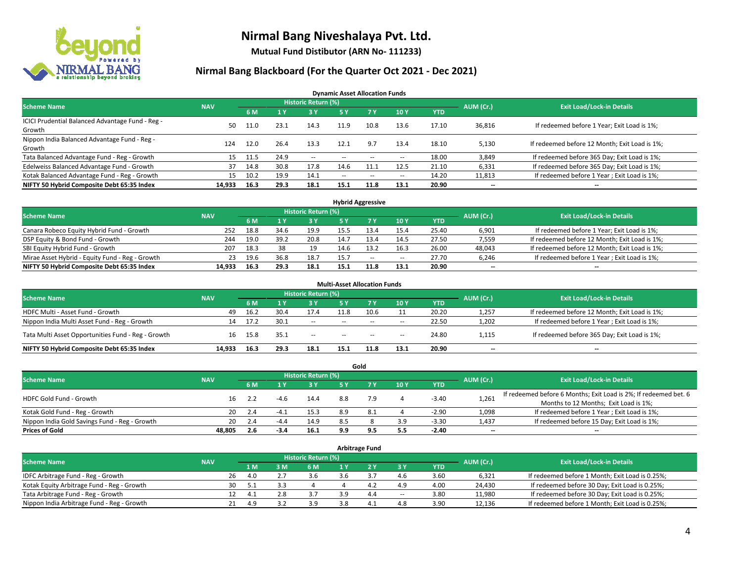

**Mutual Fund Distibutor (ARN No- 111233)**

### **Nirmal Bang Blackboard (For the Quarter Oct 2021 - Dec 2021)**

**Dynamic Asset Allocation Funds**

| <b>Scheme Name</b>                                         | <b>NAV</b> |      |      | Historic Return (%) |        |                          |                          |       | AUM (Cr.)                | <b>Exit Load/Lock-in Details</b>              |
|------------------------------------------------------------|------------|------|------|---------------------|--------|--------------------------|--------------------------|-------|--------------------------|-----------------------------------------------|
|                                                            |            | 6 M  |      | <b>3Y</b>           | 5 Y    | 7 Y                      | 10Y                      | YTD   |                          |                                               |
| ICICI Prudential Balanced Advantage Fund - Reg -<br>Growth | 50.        |      | 23.1 | 14.3                | 11.9   | 10.8                     | 13.6                     | 17.10 | 36,816                   | If redeemed before 1 Year; Exit Load is 1%;   |
| Nippon India Balanced Advantage Fund - Reg -<br>Growth     | 124        | 12.0 | 26.4 | 13.3                | 12.1   | 9.7                      | 13.4                     | 18.10 | 5,130                    | If redeemed before 12 Month; Exit Load is 1%; |
| Tata Balanced Advantage Fund - Reg - Growth                | 15         | 11.5 | 24.9 | $\sim$              | $-$    | $\overline{\phantom{a}}$ | $\overline{\phantom{a}}$ | 18.00 | 3,849                    | If redeemed before 365 Day; Exit Load is 1%;  |
| Edelweiss Balanced Advantage Fund - Growth                 | 37         | 14.8 | 30.8 | 17.8                | 14.6   | 11.1                     | 12.5                     | 21.10 | 6,331                    | If redeemed before 365 Day; Exit Load is 1%;  |
| Kotak Balanced Advantage Fund - Reg - Growth               | 15         | 10.2 | 19.9 | 14.1                | $\sim$ | $\overline{\phantom{a}}$ | $\hspace{0.05cm} \cdots$ | 14.20 | 11,813                   | If redeemed before 1 Year; Exit Load is 1%;   |
| NIFTY 50 Hybrid Composite Debt 65:35 Index                 | 14.933     | 16.3 | 29.3 | 18.1                | 15.1   | 11.8                     | 13.1                     | 20.90 | $\overline{\phantom{a}}$ | --                                            |

| <b>Hybrid Aggressive</b>                        |            |            |      |                            |      |      |        |            |           |                                               |  |  |  |
|-------------------------------------------------|------------|------------|------|----------------------------|------|------|--------|------------|-----------|-----------------------------------------------|--|--|--|
| <b>Scheme Name</b>                              | <b>NAV</b> |            |      | <b>Historic Return (%)</b> |      |      |        |            | AUM (Cr.) | <b>Exit Load/Lock-in Details</b>              |  |  |  |
|                                                 |            | 6 M        |      | 3 Y                        |      |      | 10Y    | <b>YTD</b> |           |                                               |  |  |  |
| Canara Robeco Equity Hybrid Fund - Growth       | 252        | 18.8       | 34.6 | 19.9                       | 15.5 |      | 15.4   | 25.40      | 6,901     | If redeemed before 1 Year; Exit Load is 1%;   |  |  |  |
| DSP Equity & Bond Fund - Growth                 | 244        | 19.0       | 39.2 | 20.8                       | 14.7 |      | 14.5   | 27.50      | 7,559     | If redeemed before 12 Month; Exit Load is 1%; |  |  |  |
| SBI Equity Hybrid Fund - Growth                 | 207        | 18.3       | 38   | 19                         | 14.6 |      | 16.3   | 26.00      | 48,043    | If redeemed before 12 Month; Exit Load is 1%; |  |  |  |
| Mirae Asset Hybrid - Equity Fund - Reg - Growth |            | 19.6<br>23 | 36.8 | 18.7                       | 15.7 | $-$  | $\sim$ | 27.70      | 6,246     | If redeemed before 1 Year; Exit Load is 1%;   |  |  |  |
| NIFTY 50 Hybrid Composite Debt 65:35 Index      | 14.933     | 16.3       | 29.3 | 18.1                       | 15.1 | 11.8 | 13.1   | 20.90      | $- -$     | $-$                                           |  |  |  |

| <b>Multi-Asset Allocation Funds</b>                |            |      |      |                     |                          |                |      |            |                          |                                               |  |  |  |
|----------------------------------------------------|------------|------|------|---------------------|--------------------------|----------------|------|------------|--------------------------|-----------------------------------------------|--|--|--|
| <b>Scheme Name</b>                                 | <b>NAV</b> |      |      | Historic Return (%) |                          |                |      |            | AUM (Cr.)                | <b>Exit Load/Lock-in Details</b>              |  |  |  |
|                                                    |            | 6 M  |      | 3 Y                 | <b>5Y</b>                | 7 <sub>Y</sub> | 10Y  | <b>YTD</b> |                          |                                               |  |  |  |
| HDFC Multi - Asset Fund - Growth                   | 49         | 16.2 | 30.4 | 17.4                | 11.8                     | 10.6           |      | 20.20      | 1,257                    | If redeemed before 12 Month; Exit Load is 1%; |  |  |  |
| Nippon India Multi Asset Fund - Reg - Growth       | 14         | 17.2 | 30.1 | --                  | $\sim$ $\sim$            | $\sim$         | --   | 22.50      | 1,202                    | If redeemed before 1 Year; Exit Load is 1%;   |  |  |  |
| Tata Multi Asset Opportunities Fund - Reg - Growth | 16         | 15.8 | 35.1 | $-$                 | $\overline{\phantom{a}}$ | $-$            | $-$  | 24.80      | 1,115                    | If redeemed before 365 Day; Exit Load is 1%;  |  |  |  |
| NIFTY 50 Hybrid Composite Debt 65:35 Index         | 14.933     | 16.3 | 29.3 | 18.1                | 15.1                     | 11.8           | 13.1 | 20.90      | $\overline{\phantom{a}}$ | $\overline{\phantom{a}}$                      |  |  |  |

|                                               |            |           |        |                     |     | Gold |     |            |                          |                                                                  |
|-----------------------------------------------|------------|-----------|--------|---------------------|-----|------|-----|------------|--------------------------|------------------------------------------------------------------|
| <b>Scheme Name</b>                            | <b>NAV</b> |           |        | Historic Return (%) |     |      |     |            | AUM (Cr.)                | <b>Exit Load/Lock-in Details</b>                                 |
|                                               |            | 6 M       |        | 3 Y                 | 5 Y |      | 10Y | <b>YTD</b> |                          |                                                                  |
| HDFC Gold Fund - Growth                       |            |           |        | 14.4                | 8.8 | 7.9  |     | $-3.40$    | 1,261                    | If redeemed before 6 Months; Exit Load is 2%; If redeemed bet. 6 |
|                                               |            |           |        |                     |     |      |     |            |                          | Months to 12 Months; Exit Load is 1%;                            |
| Kotak Gold Fund - Reg - Growth                |            | 20<br>2.4 | $-4.1$ | 15.3                | 8.9 |      |     | $-2.90$    | 1,098                    | If redeemed before 1 Year; Exit Load is 1%;                      |
| Nippon India Gold Savings Fund - Reg - Growth |            | 20<br>2.4 | $-4.4$ | 14.9                | 8.5 |      | 3.9 | $-3.30$    | 1,437                    | If redeemed before 15 Day; Exit Load is 1%;                      |
| <b>Prices of Gold</b>                         | 48.805     | 2.6       | -3.4   | 16.1                | 9.9 | 9.5  | 5.5 | $-2.40$    | $\overline{\phantom{a}}$ | --                                                               |

| <b>Arbitrage Fund</b>                      |            |                                  |     |     |  |                |                          |            |        |                                                 |  |  |  |
|--------------------------------------------|------------|----------------------------------|-----|-----|--|----------------|--------------------------|------------|--------|-------------------------------------------------|--|--|--|
| <b>Scheme Name</b>                         | AUM (Cr.)  | <b>Exit Load/Lock-in Details</b> |     |     |  |                |                          |            |        |                                                 |  |  |  |
|                                            | <b>NAV</b> | 1 M                              | 3M  | 6 M |  |                | 3 Y                      | <b>YTD</b> |        |                                                 |  |  |  |
| IDFC Arbitrage Fund - Reg - Growth         |            | 26<br>4.0                        |     | 3.6 |  |                | 4.6                      | 3.60       | 6.321  | If redeemed before 1 Month; Exit Load is 0.25%; |  |  |  |
| Kotak Equity Arbitrage Fund - Reg - Growth |            | 30                               |     |     |  | 4.4            | 4.9                      | 4.00       | 24,430 | If redeemed before 30 Day; Exit Load is 0.25%;  |  |  |  |
| Tata Arbitrage Fund - Reg - Growth         |            | 12                               | 2.8 | 3.7 |  | 4.4            | $\overline{\phantom{a}}$ | 3.80       | 11,980 | If redeemed before 30 Day; Exit Load is 0.25%;  |  |  |  |
| Nippon India Arbitrage Fund - Reg - Growth |            | 21<br>4.9                        |     | 3.9 |  | 4 <sup>1</sup> | 4.8                      | 3.90       | 12,136 | If redeemed before 1 Month; Exit Load is 0.25%; |  |  |  |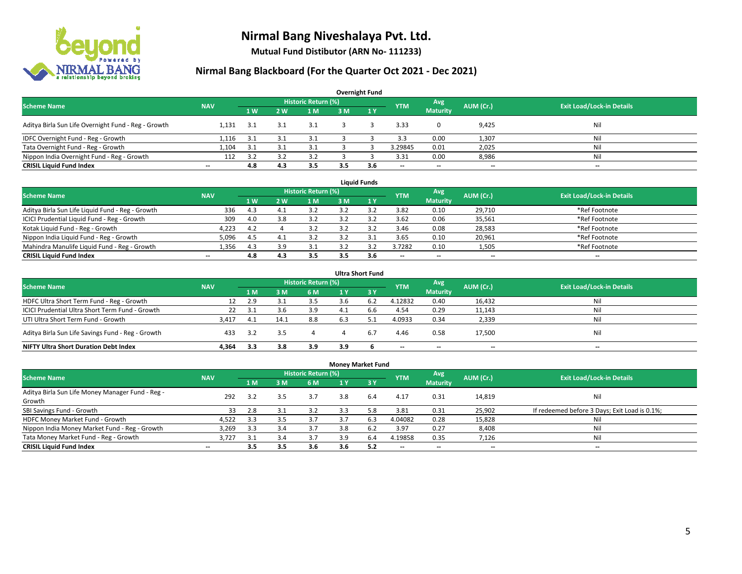

**Mutual Fund Distibutor (ARN No- 111233)**

| <b>Overnight Fund</b>                               |                          |      |                |                            |     |              |            |                          |           |                                  |  |  |  |  |
|-----------------------------------------------------|--------------------------|------|----------------|----------------------------|-----|--------------|------------|--------------------------|-----------|----------------------------------|--|--|--|--|
| <b>Scheme Name</b>                                  | <b>NAV</b>               |      |                | <b>Historic Return (%)</b> |     |              | <b>YTM</b> | Avg                      | AUM (Cr.) | <b>Exit Load/Lock-in Details</b> |  |  |  |  |
|                                                     |                          | 1 W  | 2 <sub>w</sub> | 1 M                        | 3 M | $\sqrt{1}$ Y |            | <b>Maturity</b>          |           |                                  |  |  |  |  |
| Aditya Birla Sun Life Overnight Fund - Reg - Growth | 1.131                    | -3.1 |                | 3.1                        |     |              | 3.33       |                          | 9,425     | Nil                              |  |  |  |  |
| IDFC Overnight Fund - Reg - Growth                  | 1,116                    | 3.1  |                | 3.1                        |     |              | 3.3        | 0.00                     | 1,307     | Nil                              |  |  |  |  |
| Tata Overnight Fund - Reg - Growth                  | 1.104                    | 3.1  |                | 3.1                        |     |              | 3.29845    | 0.01                     | 2,025     | Nil                              |  |  |  |  |
| Nippon India Overnight Fund - Reg - Growth          | 112                      | 3.2  |                |                            |     |              | 3.31       | 0.00                     | 8,986     | Nil                              |  |  |  |  |
| <b>CRISIL Liquid Fund Index</b>                     | $\overline{\phantom{a}}$ | 4.8  | 4.3            | 3.5                        | 3.5 | 3.6          | --         | $\overline{\phantom{a}}$ | $- -$     | $-$                              |  |  |  |  |

| <b>Liquid Funds</b>                              |            |      |     |                     |     |     |                          |                          |           |                                  |  |  |  |
|--------------------------------------------------|------------|------|-----|---------------------|-----|-----|--------------------------|--------------------------|-----------|----------------------------------|--|--|--|
| <b>Scheme Name</b>                               | <b>NAV</b> |      |     | Historic Return (%) |     |     | <b>YTM</b>               | Avg                      | AUM (Cr.) | <b>Exit Load/Lock-in Details</b> |  |  |  |
|                                                  |            | 1W   | 2 W | 1 M                 | 3 M |     |                          | <b>Maturity</b>          |           |                                  |  |  |  |
| Aditya Birla Sun Life Liquid Fund - Reg - Growth | 336        | 4.3  |     |                     |     |     | 3.82                     | 0.10                     | 29,710    | *Ref Footnote                    |  |  |  |
| ICICI Prudential Liquid Fund - Reg - Growth      | 309        | 4.0  |     | 3.2                 |     |     | 3.62                     | 0.06                     | 35,561    | *Ref Footnote                    |  |  |  |
| Kotak Liquid Fund - Reg - Growth                 | 4.223      | 4.2  |     | 3.2                 |     |     | 3.46                     | 0.08                     | 28,583    | *Ref Footnote                    |  |  |  |
| Nippon India Liquid Fund - Reg - Growth          | 5,096      | -4.5 |     |                     |     |     | 3.65                     | 0.10                     | 20,961    | *Ref Footnote                    |  |  |  |
| Mahindra Manulife Liquid Fund - Reg - Growth     | 1.356      | 4.3  | 3.9 |                     |     |     | 3.7282                   | 0.10                     | 1,505     | *Ref Footnote                    |  |  |  |
| <b>CRISIL Liquid Fund Index</b>                  | $- -$      | 4.8  | 4.3 | 3.5                 | 3.5 | 3.6 | $\overline{\phantom{a}}$ | $\overline{\phantom{a}}$ | $- -$     | $\overline{\phantom{a}}$         |  |  |  |

| <b>Ultra Short Fund</b>                           |            |       |      |                            |                |                  |                          |                          |                          |                                  |  |  |  |
|---------------------------------------------------|------------|-------|------|----------------------------|----------------|------------------|--------------------------|--------------------------|--------------------------|----------------------------------|--|--|--|
| <b>Scheme Name</b>                                | <b>NAV</b> |       |      | <b>Historic Return (%)</b> |                |                  | <b>YTM</b>               | Avg                      | AUM (Cr.)                | <b>Exit Load/Lock-in Details</b> |  |  |  |
|                                                   |            | 1 M   | ιM   | 6 M                        | 4 <sup>Y</sup> | $\overline{3}$ Y |                          | <b>Maturity</b>          |                          |                                  |  |  |  |
| HDFC Ultra Short Term Fund - Reg - Growth         |            | 2.9   |      | 3.5                        |                | -6.2             | 4.12832                  | 0.40                     | 16,432                   | Nil                              |  |  |  |
| ICICI Prudential Ultra Short Term Fund - Growth   | 22         | -3.1  | 3.b  | 3.9                        |                | b.b              | 4.54                     | 0.29                     | 11,143                   | Nil                              |  |  |  |
| UTI Ultra Short Term Fund - Growth                | 3.417      | - 4.1 | 14.1 | 8.8                        | 6.3            |                  | 4.0933                   | 0.34                     | 2,339                    | Nil                              |  |  |  |
| Aditya Birla Sun Life Savings Fund - Reg - Growth | 433        | 3.2   | 3.5  |                            |                | 6.7              | 4.46                     | 0.58                     | 17,500                   | Nil                              |  |  |  |
| <b>NIFTY Ultra Short Duration Debt Index</b>      | 4.364      | 3.3   | 3.8  | 3.9                        | 3.9            |                  | $\overline{\phantom{a}}$ | $\overline{\phantom{a}}$ | $\overline{\phantom{a}}$ | $-$                              |  |  |  |

| <b>Money Market Fund</b>                         |                          |      |     |                            |     |                 |                          |                          |                          |                                               |  |  |  |
|--------------------------------------------------|--------------------------|------|-----|----------------------------|-----|-----------------|--------------------------|--------------------------|--------------------------|-----------------------------------------------|--|--|--|
| <b>Scheme Name</b>                               | <b>NAV</b>               |      |     | <b>Historic Return (%)</b> |     |                 | <b>YTM</b>               | Avg                      | AUM (Cr.)                | <b>Exit Load/Lock-in Details</b>              |  |  |  |
|                                                  |                          | 1 M  | 3 M | 6 M                        | 1 Y | $\overline{3V}$ |                          | <b>Maturity</b>          |                          |                                               |  |  |  |
| Aditya Birla Sun Life Money Manager Fund - Reg - | 292                      | 3.2  | 3.5 | 3.7                        | 3.8 | 6.4             | 4.17                     | 0.31                     | 14,819                   | Nil                                           |  |  |  |
| Growth                                           |                          |      |     |                            |     |                 |                          |                          |                          |                                               |  |  |  |
| SBI Savings Fund - Growth                        | 33                       | 2.8  |     | 3.2                        | 3.3 | 5.8             | 3.81                     | 0.31                     | 25,902                   | If redeemed before 3 Days; Exit Load is 0.1%; |  |  |  |
| HDFC Money Market Fund - Growth                  | 4,522                    | -3.3 | 3.5 | 3.7                        | 3.7 | 6.3             | 4.04082                  | 0.28                     | 15,828                   | Nil                                           |  |  |  |
| Nippon India Money Market Fund - Reg - Growth    | 3,269                    | 3.3  | 3.4 | 3.7                        | 3.8 | 6.2             | 3.97                     | 0.27                     | 8,408                    | Ni                                            |  |  |  |
| Tata Money Market Fund - Reg - Growth            | 3.727                    | 3.1  | 3.4 | 3.7                        | 3.9 | 6.4             | 4.19858                  | 0.35                     | 7,126                    | Ni                                            |  |  |  |
| <b>CRISIL Liquid Fund Index</b>                  | $\overline{\phantom{a}}$ | 3.5  | 3.5 | 3.6                        | 3.6 | 5.2             | $\overline{\phantom{a}}$ | $\overline{\phantom{a}}$ | $\overline{\phantom{a}}$ | $-$                                           |  |  |  |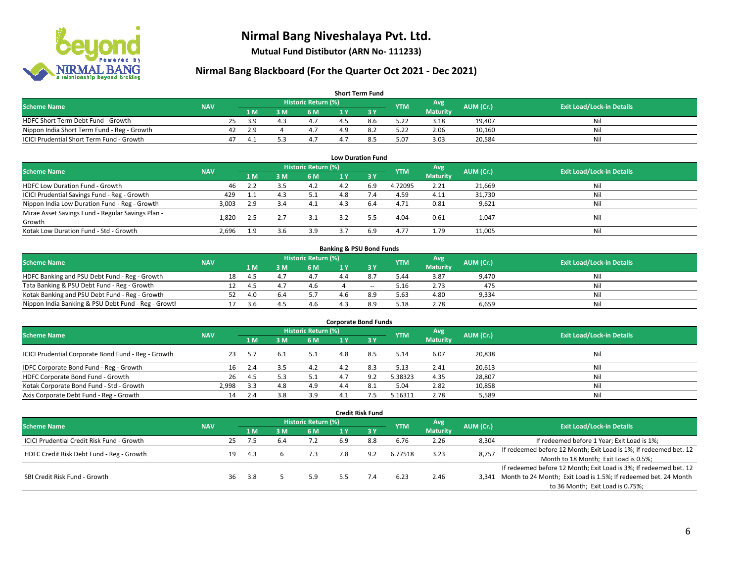

**Mutual Fund Distibutor (ARN No- 111233)**

| <b>Short Term Fund</b>                           |            |    |           |     |                     |  |     |            |                 |           |                                  |  |  |  |
|--------------------------------------------------|------------|----|-----------|-----|---------------------|--|-----|------------|-----------------|-----------|----------------------------------|--|--|--|
| <b>Scheme Name</b>                               | <b>NAV</b> |    |           |     | Historic Return (%) |  |     | <b>YTM</b> | Avg             | AUM (Cr.) | <b>Exit Load/Lock-in Details</b> |  |  |  |
|                                                  |            |    | 1 M.      | 8 M | 6 M                 |  |     |            | <b>Maturity</b> |           |                                  |  |  |  |
| HDFC Short Term Debt Fund - Growth               |            | 25 | <b>20</b> |     |                     |  | 8.6 | 5.22       | 3.18            | 19.407    | Nil                              |  |  |  |
| Nippon India Short Term Fund - Reg - Growth      |            | 42 | 2.9       |     |                     |  |     | 5.22       | 2.06            | 10,160    | Nil                              |  |  |  |
| <b>ICICI Prudential Short Term Fund - Growth</b> |            | 47 | -4.1      |     | 4.7                 |  |     | 5.07       | 3.03            | 20,584    | Nil                              |  |  |  |

| <b>Low Duration Fund</b>                          |            |     |     |                            |     |      |            |                 |           |                                  |  |  |  |
|---------------------------------------------------|------------|-----|-----|----------------------------|-----|------|------------|-----------------|-----------|----------------------------------|--|--|--|
| <b>Scheme Name</b>                                | <b>NAV</b> |     |     | <b>Historic Return (%)</b> |     |      | <b>YTM</b> | Avg             | AUM (Cr.) | <b>Exit Load/Lock-in Details</b> |  |  |  |
|                                                   |            | 1 M | 3 M | 6 M                        |     | -3 Y |            | <b>Maturity</b> |           |                                  |  |  |  |
| HDFC Low Duration Fund - Growth                   | 46         | 2.2 |     | 4.2                        | 4.2 | 6.9  | 4.72095    | 2.21            | 21,669    | Nil                              |  |  |  |
| ICICI Prudential Savings Fund - Reg - Growth      | 429        | 1.1 | 4.3 | 5.1                        | 4.8 |      | 4.59       | 4.11            | 31,730    | Nil                              |  |  |  |
| Nippon India Low Duration Fund - Reg - Growth     | 3,003      | 2.9 |     | 4.1                        | 4.3 | 6.4  | 4.71       | 0.81            | 9,621     | Nil                              |  |  |  |
| Mirae Asset Savings Fund - Regular Savings Plan - | 1.820      |     |     | 3.1                        | 3.2 |      | 4.04       | 0.61            |           | Nil                              |  |  |  |
| Growth                                            |            | 2.5 |     |                            |     |      |            |                 | 1,047     |                                  |  |  |  |
| Kotak Low Duration Fund - Std - Growth            | 2,696      | 1.9 | 3.6 | 3.9                        |     | 6.9  | 4.77       | 1.79            | 11,005    | Nil                              |  |  |  |

| <b>Banking &amp; PSU Bond Funds</b>                 |            |    |      |      |                     |  |       |            |                 |           |                                  |  |  |  |
|-----------------------------------------------------|------------|----|------|------|---------------------|--|-------|------------|-----------------|-----------|----------------------------------|--|--|--|
| <b>Scheme Name</b>                                  | <b>NAV</b> |    |      |      | Historic Return (%) |  |       | <b>YTM</b> | Avg             | AUM (Cr.) | <b>Exit Load/Lock-in Details</b> |  |  |  |
|                                                     |            |    | 4 M. | 3 M  | 6 M                 |  |       |            | <b>Maturity</b> |           |                                  |  |  |  |
| HDFC Banking and PSU Debt Fund - Reg - Growth       |            | 18 | 4.5  |      | 4.7                 |  |       | 5.44       | 3.87            | 9.470     | Nil                              |  |  |  |
| Tata Banking & PSU Debt Fund - Reg - Growth         |            |    | 45   | 4. . | 4.6                 |  | $- -$ | 5.16       | 2.73            | 475       | Nil                              |  |  |  |
| Kotak Banking and PSU Debt Fund - Reg - Growth      |            |    | 4.O  |      |                     |  | 8.9   | 5.63       | 4.80            | 9.334     | Nil                              |  |  |  |
| Nippon India Banking & PSU Debt Fund - Reg - Growth |            |    | .3.b |      | 4.6                 |  | 8.9   | 5.18       | 2.78            | 6.659     | Nil                              |  |  |  |

| <b>Corporate Bond Funds</b>                         |            |     |     |                     |     |      |            |                 |           |                                  |  |
|-----------------------------------------------------|------------|-----|-----|---------------------|-----|------|------------|-----------------|-----------|----------------------------------|--|
| <b>Scheme Name</b>                                  | <b>NAV</b> |     |     | Historic Return (%) |     |      | <b>YTM</b> | Avg             | AUM (Cr.) | <b>Exit Load/Lock-in Details</b> |  |
|                                                     |            | 1 M | з м | 6 M                 |     | -3 Y |            | <b>Maturity</b> |           |                                  |  |
| ICICI Prudential Corporate Bond Fund - Reg - Growth | 23         | 5.7 |     | 5.1                 | 4.8 | 8.5  | 5.14       | 6.07            | 20,838    | Nil                              |  |
| IDFC Corporate Bond Fund - Reg - Growth             | 16         |     |     | 4.2                 |     | 8.3  | 5.13       | 2.41            | 20,613    | Nil                              |  |
| HDFC Corporate Bond Fund - Growth                   | 26         | 4.5 |     | 5.1                 |     |      | 5.38323    | 4.35            | 28,807    | Nil                              |  |
| Kotak Corporate Bond Fund - Std - Growth            | 2.998      | 3.3 | 4.8 | 4.9                 | 4.4 |      | 5.04       | 2.82            | 10,858    | Nil                              |  |
| Axis Corporate Debt Fund - Reg - Growth             | 14         |     | २ २ | 3.9                 |     |      | 5.16311    | 2.78            | 5,589     | Nil                              |  |

|                                            |            |    |      |     |                            |     | <b>Credit Risk Fund</b> |            |                 |           |                                                                       |
|--------------------------------------------|------------|----|------|-----|----------------------------|-----|-------------------------|------------|-----------------|-----------|-----------------------------------------------------------------------|
| <b>Scheme Name</b>                         | <b>NAV</b> |    |      |     | <b>Historic Return (%)</b> |     |                         | <b>YTM</b> | Avg             | AUM (Cr.) | <b>Exit Load/Lock-in Details</b>                                      |
|                                            |            |    | 1 M  | 3 M | 6 M                        | 1 Y | $-3V$                   |            | <b>Maturity</b> |           |                                                                       |
| ICICI Prudential Credit Risk Fund - Growth |            | 25 | 7.5  | 6.4 |                            | 6.9 | 8.8                     | 6.76       | 2.26            | 8,304     | If redeemed before 1 Year; Exit Load is 1%;                           |
| HDFC Credit Risk Debt Fund - Reg - Growth  |            |    | 4.3  |     | 7.3                        | 7.8 | 9.2                     | 6.77518    | 3.23            | 8,757     | If redeemed before 12 Month; Exit Load is 1%; If redeemed bet. 12     |
|                                            |            |    |      |     |                            |     |                         |            |                 |           | Month to 18 Month; Exit Load is 0.5%;                                 |
|                                            |            |    |      |     |                            |     |                         |            |                 |           | If redeemed before 12 Month; Exit Load is 3%; If redeemed bet. 12     |
| SBI Credit Risk Fund - Growth              |            | 36 | -3.8 |     | 5.9                        |     | 7.4                     | 6.23       | 2.46            |           | 3,341 Month to 24 Month; Exit Load is 1.5%; If redeemed bet. 24 Month |
|                                            |            |    |      |     |                            |     |                         |            |                 |           | to 36 Month; Exit Load is 0.75%;                                      |